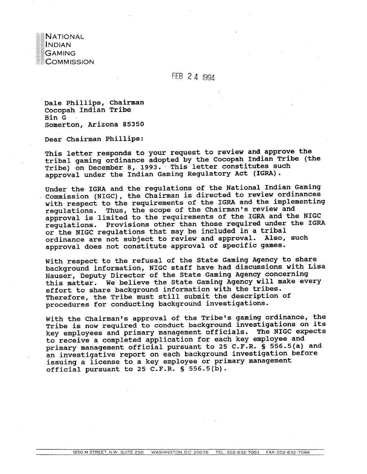**NATIONAL INDIAN GAMING** COMMISSION

FEB 2 4 1994

**Dale Phillips, Chairman Cocopah Indian Tribe Bin G** . **Somerton, Arizona 85350** 

**Dear Chairman Phillips:** 

**This letter responds to your request to review and approve the tribal gaming ordinance adopted by the Cocopah Indian Tribe (the Tribe) on December 8, 1993.** - **This letter constitutes such approval under the Indian Gaming Regulatory Act (IGRA).** 

**Under the IGRA and the regulations of the National Indian Gaming**  Commission (NIGC), the Chairman is directed to review ordinances **with respect to the requirements of the IGRA and the implementing regulations. Thus, the scope of the Chairman's review and approval is limited to the requirements of the IGRA and the NIGC regulations. Provisions other than those required under the IGRA or the NIGC regulations that may be included in a tribal ordinance are not subject to review and approval. Also, such approval does not constitute approval of specific games.** 

**With respect to the refusal of the State Gaming Agency to share background information, NIGC staff have had discussions with Lisa Hauser, Deputy Director of the State Gaming Agency concerning this matter. We believe the State Gaming Agency will make every effort to share background information with the tribes. Therefore, the Tribe must still submit the description of procedures for conducting background investigations.** 

**With the Chairman's approval of the Tribe's gaming ordinance, the Tribe is now required to conduct background investigations on its key employees and primary management officials. The NIGC expects to receive a completed application for each key employee and primary management official pursuant to 25 C.F.R.** \$ **556.5(a) and an investigative report on each background investigation before issuing a license to a key employee or primary management official pursuant to 25 C.F.R.** \$ **556.5(b).**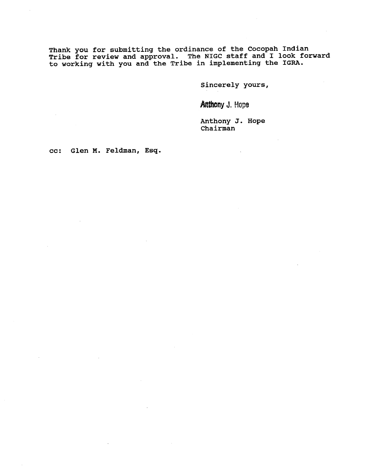**Thank you for submitting the ordinance of the Cocopah Indian Tribe for review and approval. The NIGC staff and I look forward to working with you and the Tribe in implementing the IGRA.** 

**sincerely yours,** 

**Anthony J. Hope** 

**Anthony J. Hope Chairman** 

**cc: Glen M. Feldman, Esq.**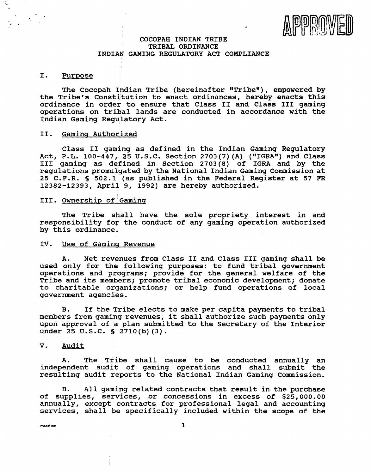

## **COCOPAH INDIAN TRIBE** <sup>1</sup>**TRIBAL ORDINANCE INDIAN GAMING REGULATORY ACT COMPLIANCE**

#### I. **Purpose**

**The Cocopah Indian Tribe (hereinafter "Tribew), empowered by the Tribe's constitution to enact ordinances, hereby enacts this ordinance in order to ensure that Class I1 and Class I11 gaming operations on tribal lands are conducted in accordance with the Indian Gaming Regulatory Act.** 

#### **11.** Gaming Authorized

**Class 11 gaming as defined in the Indian Gaming Regulatory Act, P.L. 100-447, 25 U.S.C. Section 2703 (7) (A) (I1IGRA") and Class I11 gaming as defined in Section 2703(8) of IGRA and by the regulations promulgated by the National Indian Gaming Commission at 25 C. F.R. S 502.1 (as published in the Federal Register at 57 FR 12382-12393, April 9, 1992) are hereby authorized.** 

# **111. Ownership of Gaming**

**The Tribe shall have the sole propriety interest in and responsibility for the conduct of any gaming operation authorized by this ordinance.** 

# IV. Use of Gaming Revenue

**A. Net revenues from Class I1 and Class I11 gaming shall be used only for the following purposes: to fund tribal government operations and programs; provide for the general welfare of the Tribe and its members; promote tribal economic development; donate to charitable otganizations; or help fund operations of local government agencies.** 

**B. If the Tribe elects to make per capita payments to tribal members from gaming revenues, it shall authorize such payments only upon approval of a plan submitted to the Secretary of the Interior under 25 U.S.C.** § **2710(b) (3).** 

#### **V. Audit**

**A. The Tribe shall cause to be conducted annually an independent audit of gaming operations and shall submit the resulting audit reports to the National Indian Gaming Commission.** 

**B. All gaming related contracts that result in the purchase of supplies, services, or concessions in excess of \$25,000.00 annually, except contracts for professional legal and accounting services, shall be specifically included within the scope of the** 

**PNN0610P**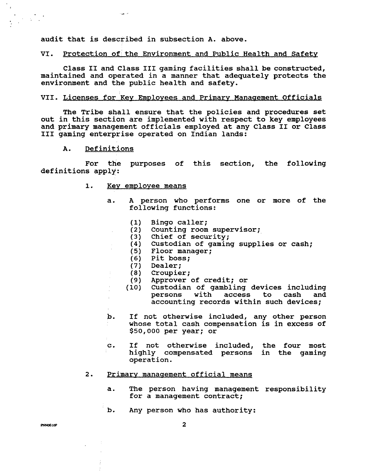audit that is described in subsection **A.** above.

م العباء

## VI. Protection of the Environment and Public Health and Safety

Class **I1** and Class I11 gaming facilities shall be constructed, maintained and operated in a manner that adequately protects the environment and the public health and safety.

## VII. Licenses for Key Employees and Primary Management Officials

The Tribe shall ensure that the policies and procedures set out in this section are implemented with respect to key employees and primary management officials employed at any Class **I1** or Class **I11** gaming enterprise operated on Indian lands:

**A.** Definitions

 $\bar{\rm r}$ 

 $\bar{t}$  .

 $\frac{1}{4}$ 

For the purposes of this section, the following definitions apply:

- 1. **Key employee means** 
	- a. A person who performs one or more of the following functions:
		- Bingo caller;  $(1)$
		- Counting room supervisor;  $(2)$
		- Chief of security;  $(3)$
		- Custodian of gaming supplies or cash; Floor manager ;
			-
			- Pit boss;
			- $(7)$ Dealer;
		- Croupier;  $(8)$
		- Approver of credit; or
		- Custodian of gambling devices including  $(10)$ access to cash and accounting records within such devices;
	- b. If not otherwise included, any other person whose total cash compensation is in excess of **\$50,000** per year; or
	- c. If not otherwise included, the four most highly compensated persons in the gaming operation.

#### 2. Primary management official means

- a. The person having management responsibility for a management contract;
- b. Any person who has authority: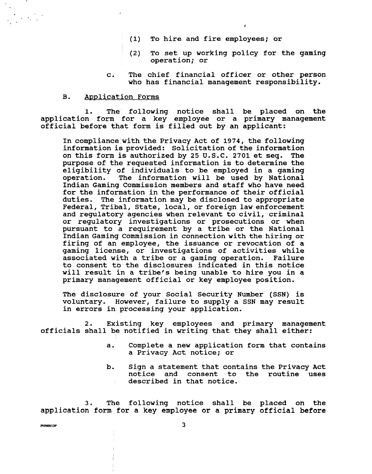- (1) To hire and fire employees; or
- (2) To set up working policy for the gaming operation; or
- c. The chief financial officer or other person who has financial management responsibility.

#### B. Application Forms

1. The' following notice shall be placed on the application form for a key employee or a primary management official before that form is filled out by an applicant:

In compliance with the Privacy Act of 1974, the following information is provided: Solicitation of the information on this form is authorized by 25 U.S.C. 2701 et seq. The purpose of the requested information is to determine the eligibility of individuals to be employed in a gaming<br>operation. The information will be used by National The information will be used by National Indian Gaming Commission members and staff who have need for the information in the performance of their official duties. The information may be disclosed to appropriate Federal, Tribal, State, local, or foreign law enforcement and regulatory agencies when relevant to civil, criminal or regulatory investigations or prosecutions or when pursuant to a requirement by a tribe or the National Indian Gaming Commission in connection with the hiring or firing of an employee, the issuance or revocation of a gaming license, or investigations of activities while associated with a tribe or a gaming operation. Failure to consent to the disclosures indicated in this notice will result in a tribe's being unable to hire you in a primary management official or key employee position.

The disclosure of your Social Security Number (SSN) is voluntary. However, failure to supply a SSN may result in errors in processing your application.

2. Existing key employees and primary management officials shall be notified in writing that they shall either:

- a. Complete a new application form that contains a Privacy Act notice; or
- b. Sign a statement that contains the Privacy Act notice and consent to the routine uses described in that notice.

3. The following notice shall be placed on the application form for a key employee or a primary official before

**PNN0610P**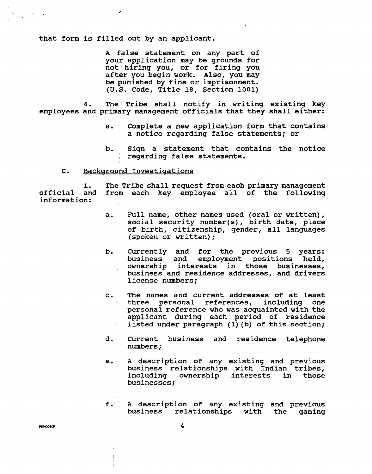**that form is filled out by an applicant.** 

**A false statement on any part of your application may be grounds for not hiring you, or for firing you after you begin work. Also, you may be punished by fine or imprisonment. (U.S. Code, Title 18, Section 1001)** 

**4. The Tribe shall notify in writing existing key employees and primary management officials that they shall either:** 

- **a. Complete a new application form that contains a notice regarding false statements; or**
- **b. Sign a statement that contains the notice regarding false statements.**

#### **C.** Background Investigations

**1. The Tribe shall request from each primary management official and from each key employee all of the following information:** 

- **a. Full name, other names used (oral or written), social security number(s), birth date, place of birth, citizenship, gender, all languages (spoken or written)** ;
- **b. Currently and for the previous 5 years: business and employment positions held, ownership interests in those businesses, business and residence addresses, and drivers license numbers;**   $\mathcal{L}^{\pm}$
- **c. The names and current addresses of at least three personal references, including one personal reference who was acquainted with the applicant during each period of residence listed under paragraph (1) (b) of this section;**
- **d. Current business and residence telephone numbers** ;
- **e. A description of any existing and previous business relationships with Indian tribes,**  pusiness relationships with indian tripes,<br>including ownership interests in those<br>businesses;
- **f. A description of any existing and previous business relationships with the gaming**

 $\mathcal{L}^{\text{max}}_{\text{max}}$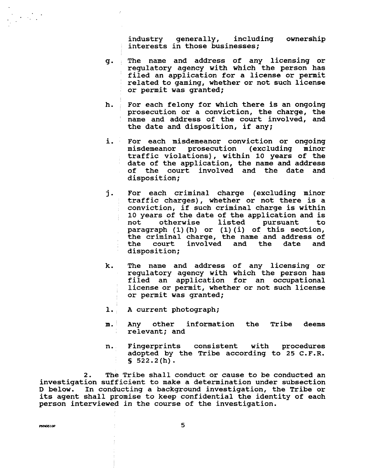industry generally, including ownership interests in those businesses;

- g. The name and address of any licensing or regulatory agency with which the person has filed an application for a license or permit : related to gaming, whether or not such license or permit was granted;
- h. For each felony for which there is an ongoing prosecution or a conviction, the charge, the name and address of the court involved, and the date and disposition, if any;
- i. For each misdemeanor conviction or ongoing<br>misdemeanor prosecution (excluding minor misdemeanor prosecution (excluding traffic violations) , within 10 years of the date of the application, the name and address of the court involved and the date and disposition;
- **j.** For each criminal charge (excluding minor traffic charges), whether or not there is a conviction, if such criminal charge is within 10 years of the date of the application and is<br>not otherwise listed pursuant to not otherwise listed pursuant to paragraph **(1)** (h) or (1) (i) of this section, the criminal charge, the name and address of<br>the court involved and the date and court involved and the date and disposition;
- k. The name and address of any licensing or regulatory agency with which the person has filed an application for an occupational license or permit, whether or not such license or permit was granted;
- 1. A current photograph;
- m. Any other information the Tribe deems relevant; and
- n. Fingerprints consistent with procedures adopted by the Tribe according to 25 C.F.R.  $$522.2(h).$

2. The Tribe shall conduct or cause to be conducted an investigation sufficient to make a determination under subsection D below. In conducting a background investigation, the Tribe or its agent shall promise to keep confidential the identity of each person interviewed in the course of the investigation.

PNN0610P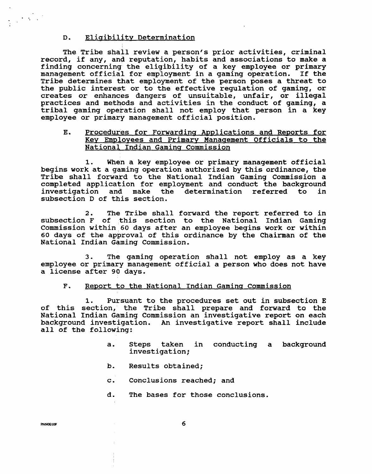# D. Eliaibilitv Determination

The Tribe shall review a person's prior activities, criminal record, if any, and reputation, habits and associations to make a finding concerning the eligibility of a key employee or primary management official for employment in a gaming operation. If the Tribe determines that employment of the person poses a threat to the public interest or to the effective regulation of gaming, or creates or enhances dangers of unsuitable, unfair, or illegal practices and methods and activities in the conduct of gaming, a tribal gaming operation shall not employ that person in a key employee or primary management official position.

# E. Procedures for Forwarding Applications and Reports for Key Employees and Primary Management Officials to the National Indian Gaming Commission

**1.** When a key employee or primary management official begins work at a gaming operation authorized by this ordinance, the Tribe shall forward to the National Indian Gaming Commission a completed application for employment and conduct the background investigation and make the determination referred to in subsection D of this section.

2. The Tribe shall forward the report referred to in subsection **F** of this section to the National Indian Gaming Commission within 60 days after an employee begins work or within 60 days of the approval of this ordinance by the Chairman of the National Indian Gaming Commission.

3. The gaming operation shall not employ as a key employee or primary management official a person who does not have a license after 90 days.

#### $F<sub>1</sub>$ Report to the National Indian Gaming Commission

1. Pursuant to the procedures set out in subsection E of this section, the Tribe shall prepare and forward to the National Indian Gaming Commission an investigative report on each background investigation. An investigative report shall include all of the following:

- a. Steps taken in conducting a background investigation;
- b. Results obtained;
- c. Conclusions reached; and
- d. The bases for those conclusions.

 $\label{eq:2} \frac{1}{2} \left( \frac{1}{2} \sum_{i=1}^n \frac{1}{2} \sum_{j=1}^n \frac{1}{2} \sum_{j=1}^n \frac{1}{2} \sum_{j=1}^n \frac{1}{2} \sum_{j=1}^n \frac{1}{2} \sum_{j=1}^n \frac{1}{2} \sum_{j=1}^n \frac{1}{2} \sum_{j=1}^n \frac{1}{2} \sum_{j=1}^n \frac{1}{2} \sum_{j=1}^n \frac{1}{2} \sum_{j=1}^n \frac{1}{2} \sum_{j=1}^n \frac{1}{2} \sum_{j$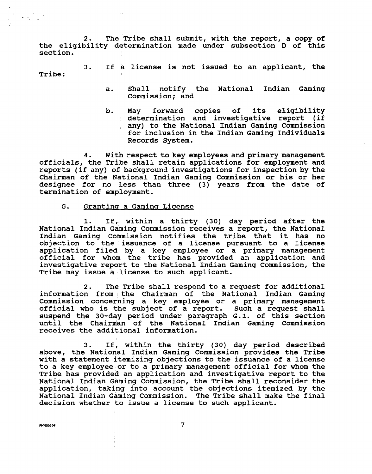2. The Tribe shall submit, with the report, a copy of the eligibility determination made under subsection D of this section.

3. If a license is not issued to an applicant, the Tribe:

- a. , Shall notify the National Indian Gaming Commission; and
- b. May forward copies of its eligibility determination and investigative report (if any) to the National Indian Gaming Commission for inclusion in the Indian Gaming Individuals Records System.

officials, the Tribe shall retain applications for employment and reports (if any) of background investigations for inspection by the **4.** With respect to key employees and primary management Chairman of the National Indian Gaming Commission or his or her designee for no less than three (3) years from the date of termination of employment.

# G. Granting a Gaming License

1. If, within a thirty (30) day period after the National Indian Gaming Commission receives a report, the National Indian Gaming Commission notifies the tribe that it has no objection to the issuance of a license pursuant to a license application filed by a key employee or a primary management official for whom the tribe has provided an application and investigative report to the National Indian Gaming Commission, the Tribe may issue a license to such applicant.

**2.** The Tribe shall respond to a request for additional information from the Chairman of the National Indian Gaming Commission concerning a key employee or a primary management official who is the subject of a report. Such a request shall suspend the 30-day period under paragraph G.1. of this section until the Chairman of the National Indian Gaming Commission receives the additional information.

3. If, within the thirty (30) day period described above, the National Indian Gaming Commission provides the Tribe with a statement itemizing objections to the issuance of a license to a key employee or to a primary management official for whom the Tribe has provided an application and investigative report to the National Indian Gaming Commission, the Tribe shall reconsider the application, taking into account the objections itemized by the National Indian Gaming Commission. The Tribe shall make the final decision whether to issue a license to such applicant.

**PNN0610P** 

 $\overline{\mathbf{z}}$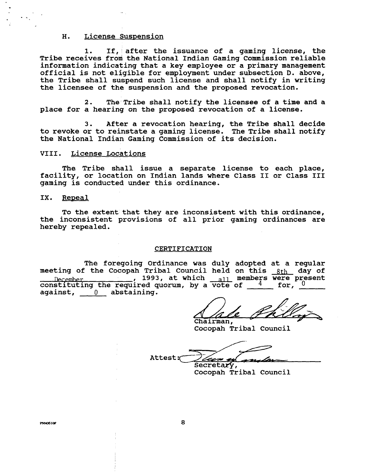# **H.** License Suspension

**1. If, after the issuance of a gaming license, the Tribe receives from the National Indian Gaming Commission reliable information indicating that a key employee or a primary management official is not eligible for employment under subsection D. above, the Tribe shall suspend such license and shall notify in writing the licensee of the suspension and the proposed revocation.** 

**2. The Tribe shall notify the licensee of a time and a place for a hearing on the proposed revocation of a license.** 

**3. After a revocation hearing, the Tribe shall decide to revoke or to reinstate a gaming license. The Tribe shall notify the National Indian Gaming Commission of its decision.** 

#### **VIII. License Locations**

**The Tribe shall issue a separate license to each place, facility, or location on Indian lands where Class I1 or Class I11 gaming is conducted under this ordinance.** 

#### IX. Repeal

**To the extent that they are inconsistent with this ordinance, the inconsistent provisions of all prior gaming ordinances are hereby repealed.** 

#### **CERTIFICATION**

The foregoing Ordinance was duly adopted at a regular<br>meeting of the Cocopah Tribal Council held on this 8th day of **meeting of the Cocopah Tribal Council held on this** 8th **day of** , **1993, at which .11 members were present constituting the required quorum, by a vote of**  $4$  **for, 0 against,** 0 **abstaining.** 

Chairman,

**Cocopah Tribal Council** 

Attest: za **u** Secretary,

**Cocopah Tribal Council** 

**PNNO610P**